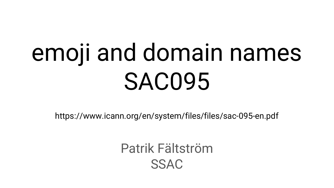# emoji and domain names SAC095

https://www.icann.org/en/system/files/files/sac-095-en.pdf

Patrik Fältström SSAC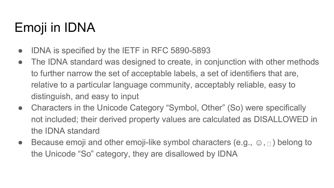# Emoji in IDNA

- IDNA is specified by the IETF in RFC 5890-5893
- The IDNA standard was designed to create, in conjunction with other methods to further narrow the set of acceptable labels, a set of identifiers that are, relative to a particular language community, acceptably reliable, easy to distinguish, and easy to input
- Characters in the Unicode Category "Symbol, Other" (So) were specifically not included; their derived property values are calculated as DISALLOWED in the IDNA standard
- **•** Because emoji and other emoji-like symbol characters (e.g.,  $\odot$ ,  $\odot$ ) belong to the Unicode "So" category, they are disallowed by IDNA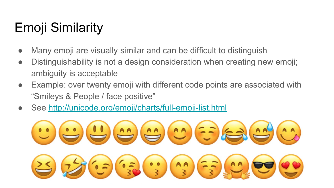# Emoji Similarity

- Many emoji are visually similar and can be difficult to distinguish
- Distinguishability is not a design consideration when creating new emoji; ambiguity is acceptable
- Example: over twenty emoji with different code points are associated with "Smileys & People / face positive"
- See<http://unicode.org/emoji/charts/full-emoji-list.html>

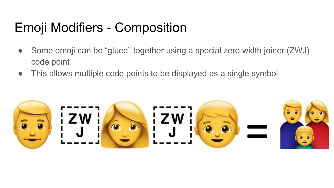## Emoji Modifiers - Composition

- Some emoji can be "glued" together using a special zero width joiner (ZWJ) code point
- This allows multiple code points to be displayed as a single symbol

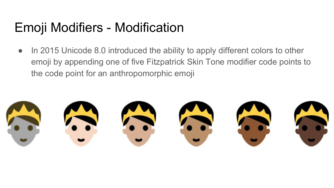### Emoji Modifiers - Modification

● In 2015 Unicode 8.0 introduced the ability to apply different colors to other emoji by appending one of five Fitzpatrick Skin Tone modifier code points to the code point for an anthropomorphic emoji

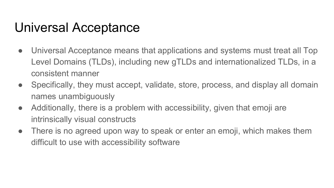#### Universal Acceptance

- Universal Acceptance means that applications and systems must treat all Top Level Domains (TLDs), including new gTLDs and internationalized TLDs, in a consistent manner
- Specifically, they must accept, validate, store, process, and display all domain names unambiguously
- Additionally, there is a problem with accessibility, given that emoji are intrinsically visual constructs
- There is no agreed upon way to speak or enter an emoji, which makes them difficult to use with accessibility software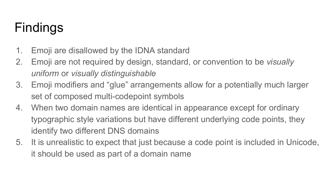# Findings

- 1. Emoji are disallowed by the IDNA standard
- 2. Emoji are not required by design, standard, or convention to be *visually uniform* or *visually distinguishable*
- 3. Emoji modifiers and "glue" arrangements allow for a potentially much larger set of composed multi-codepoint symbols
- 4. When two domain names are identical in appearance except for ordinary typographic style variations but have different underlying code points, they identify two different DNS domains
- 5. It is unrealistic to expect that just because a code point is included in Unicode, it should be used as part of a domain name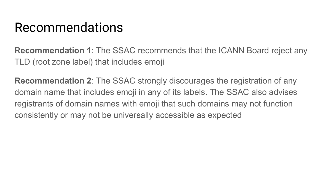#### Recommendations

**Recommendation 1**: The SSAC recommends that the ICANN Board reject any TLD (root zone label) that includes emoji

**Recommendation 2**: The SSAC strongly discourages the registration of any domain name that includes emoji in any of its labels. The SSAC also advises registrants of domain names with emoji that such domains may not function consistently or may not be universally accessible as expected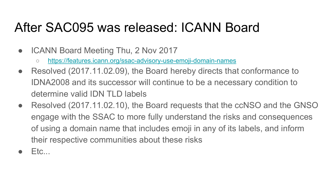#### After SAC095 was released: ICANN Board

- ICANN Board Meeting Thu, 2 Nov 2017
	- <https://features.icann.org/ssac-advisory-use-emoji-domain-names>
- Resolved (2017.11.02.09), the Board hereby directs that conformance to IDNA2008 and its successor will continue to be a necessary condition to determine valid IDN TLD labels
- Resolved (2017.11.02.10), the Board requests that the ccNSO and the GNSO engage with the SSAC to more fully understand the risks and consequences of using a domain name that includes emoji in any of its labels, and inform their respective communities about these risks
- $E$ tc...